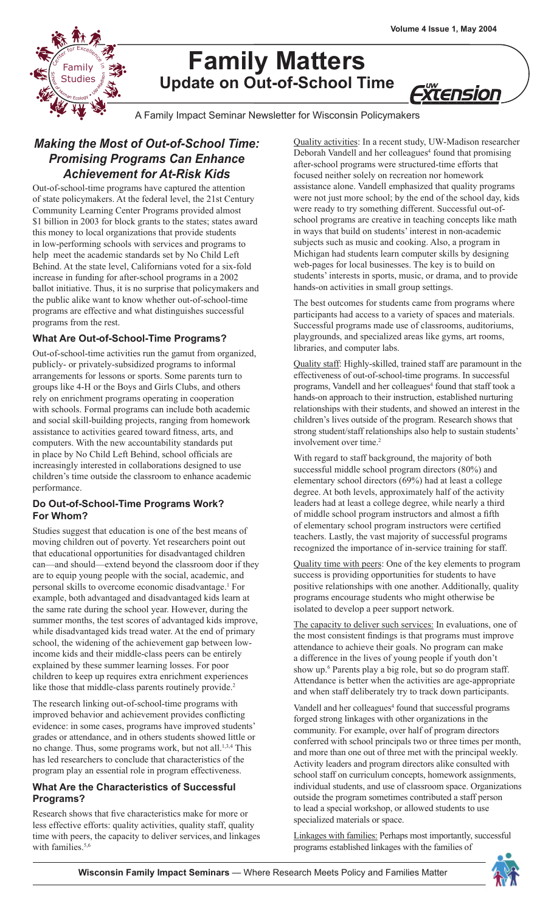*Xtension* 



# **Family Matters Update on Out-of-School Time**

A Family Impact Seminar Newsletter for Wisconsin Policymakers

# *Making the Most of Out-of-School Time: Promising Programs Can Enhance Achievement for At-Risk Kids*

Out-of-school-time programs have captured the attention of state policymakers. At the federal level, the 21st Century Community Learning Center Programs provided almost \$1 billion in 2003 for block grants to the states; states award this money to local organizations that provide students in low-performing schools with services and programs to help meet the academic standards set by No Child Left Behind. At the state level, Californians voted for a six-fold increase in funding for after-school programs in a 2002 ballot initiative. Thus, it is no surprise that policymakers and the public alike want to know whether out-of-school-time programs are effective and what distinguishes successful programs from the rest.

### **What Are Out-of-School-Time Programs?**

Out-of-school-time activities run the gamut from organized, publicly- or privately-subsidized programs to informal arrangements for lessons or sports. Some parents turn to groups like 4-H or the Boys and Girls Clubs, and others rely on enrichment programs operating in cooperation with schools. Formal programs can include both academic and social skill-building projects, ranging from homework assistance to activities geared toward fitness, arts, and computers. With the new accountability standards put in place by No Child Left Behind, school officials are increasingly interested in collaborations designed to use children's time outside the classroom to enhance academic performance.

#### **Do Out-of-School-Time Programs Work? For Whom?**

Studies suggest that education is one of the best means of moving children out of poverty. Yet researchers point out that educational opportunities for disadvantaged children can—and should—extend beyond the classroom door if they are to equip young people with the social, academic, and personal skills to overcome economic disadvantage.<sup>1</sup> For example, both advantaged and disadvantaged kids learn at the same rate during the school year. However, during the summer months, the test scores of advantaged kids improve, while disadvantaged kids tread water. At the end of primary school, the widening of the achievement gap between lowincome kids and their middle-class peers can be entirely explained by these summer learning losses. For poor children to keep up requires extra enrichment experiences like those that middle-class parents routinely provide.<sup>2</sup>

The research linking out-of-school-time programs with improved behavior and achievement provides conflicting evidence: in some cases, programs have improved students' grades or attendance, and in others students showed little or no change. Thus, some programs work, but not all.<sup>1,3,4</sup> This has led researchers to conclude that characteristics of the program play an essential role in program effectiveness.

#### **What Are the Characteristics of Successful Programs?**

Research shows that five characteristics make for more or less effective efforts: quality activities, quality staff, quality time with peers, the capacity to deliver services, and linkages with families  $5,6$ 

Quality activities: In a recent study, UW-Madison researcher Deborah Vandell and her colleagues<sup>4</sup> found that promising after-school programs were structured-time efforts that focused neither solely on recreation nor homework assistance alone. Vandell emphasized that quality programs were not just more school; by the end of the school day, kids were ready to try something different. Successful out-ofschool programs are creative in teaching concepts like math in ways that build on students' interest in non-academic subjects such as music and cooking. Also, a program in Michigan had students learn computer skills by designing web-pages for local businesses. The key is to build on students' interests in sports, music, or drama, and to provide hands-on activities in small group settings.

The best outcomes for students came from programs where participants had access to a variety of spaces and materials. Successful programs made use of classrooms, auditoriums, playgrounds, and specialized areas like gyms, art rooms, libraries, and computer labs.

Quality staff: Highly-skilled, trained staff are paramount in the effectiveness of out-of-school-time programs. In successful programs, Vandell and her colleagues<sup>4</sup> found that staff took a hands-on approach to their instruction, established nurturing relationships with their students, and showed an interest in the children's lives outside of the program. Research shows that strong student/staff relationships also help to sustain students' involvement over time.<sup>2</sup>

With regard to staff background, the majority of both successful middle school program directors (80%) and elementary school directors (69%) had at least a college degree. At both levels, approximately half of the activity leaders had at least a college degree, while nearly a third of middle school program instructors and almost a fifth of elementary school program instructors were certified teachers. Lastly, the vast majority of successful programs recognized the importance of in-service training for staff.

Quality time with peers: One of the key elements to program success is providing opportunities for students to have positive relationships with one another. Additionally, quality programs encourage students who might otherwise be isolated to develop a peer support network.

The capacity to deliver such services: In evaluations, one of the most consistent findings is that programs must improve attendance to achieve their goals. No program can make a difference in the lives of young people if youth don't show up.<sup>6</sup> Parents play a big role, but so do program staff. Attendance is better when the activities are age-appropriate and when staff deliberately try to track down participants.

Vandell and her colleagues<sup>4</sup> found that successful programs forged strong linkages with other organizations in the community. For example, over half of program directors conferred with school principals two or three times per month, and more than one out of three met with the principal weekly. Activity leaders and program directors alike consulted with school staff on curriculum concepts, homework assignments, individual students, and use of classroom space. Organizations outside the program sometimes contributed a staff person to lead a special workshop, or allowed students to use specialized materials or space.

Linkages with families: Perhaps most importantly, successful programs established linkages with the families of